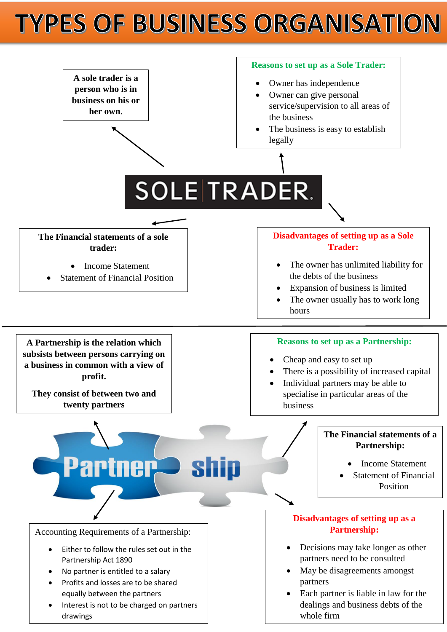